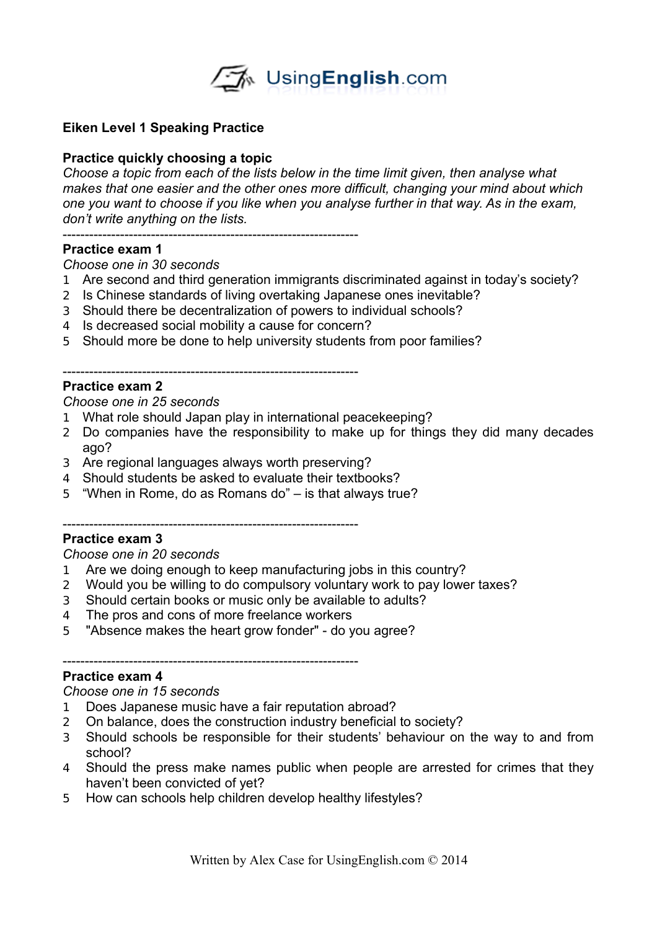

# **Eiken Level 1 Speaking Practice**

# **Practice quickly choosing a topic**

*Choose a topic from each of the lists below in the time limit given, then analyse what makes that one easier and the other ones more difficult, changing your mind about which one you want to choose if you like when you analyse further in that way. As in the exam, don't write anything on the lists.* 

-------------------------------------------------------------------

# **Practice exam 1**

### *Choose one in 30 seconds*

- 1 Are second and third generation immigrants discriminated against in today's society?
- 2 Is Chinese standards of living overtaking Japanese ones inevitable?
- 3 Should there be decentralization of powers to individual schools?
- 4 Is decreased social mobility a cause for concern?
- 5 Should more be done to help university students from poor families?

#### -------------------------------------------------------------------

# **Practice exam 2**

## *Choose one in 25 seconds*

- 1 What role should Japan play in international peacekeeping?
- 2 Do companies have the responsibility to make up for things they did many decades ago?
- 3 Are regional languages always worth preserving?

-------------------------------------------------------------------

- 4 Should students be asked to evaluate their textbooks?
- 5 "When in Rome, do as Romans do" is that always true?

## **Practice exam 3**

## *Choose one in 20 seconds*

- 1 Are we doing enough to keep manufacturing jobs in this country?
- 2 Would you be willing to do compulsory voluntary work to pay lower taxes?
- 3 Should certain books or music only be available to adults?
- 4 The pros and cons of more freelance workers
- 5 "Absence makes the heart grow fonder" do you agree?

# -------------------------------------------------------------------

# **Practice exam 4**

### *Choose one in 15 seconds*

- 1 Does Japanese music have a fair reputation abroad?
- 2 On balance, does the construction industry beneficial to society?
- 3 Should schools be responsible for their students' behaviour on the way to and from school?
- 4 Should the press make names public when people are arrested for crimes that they haven't been convicted of yet?
- 5 How can schools help children develop healthy lifestyles?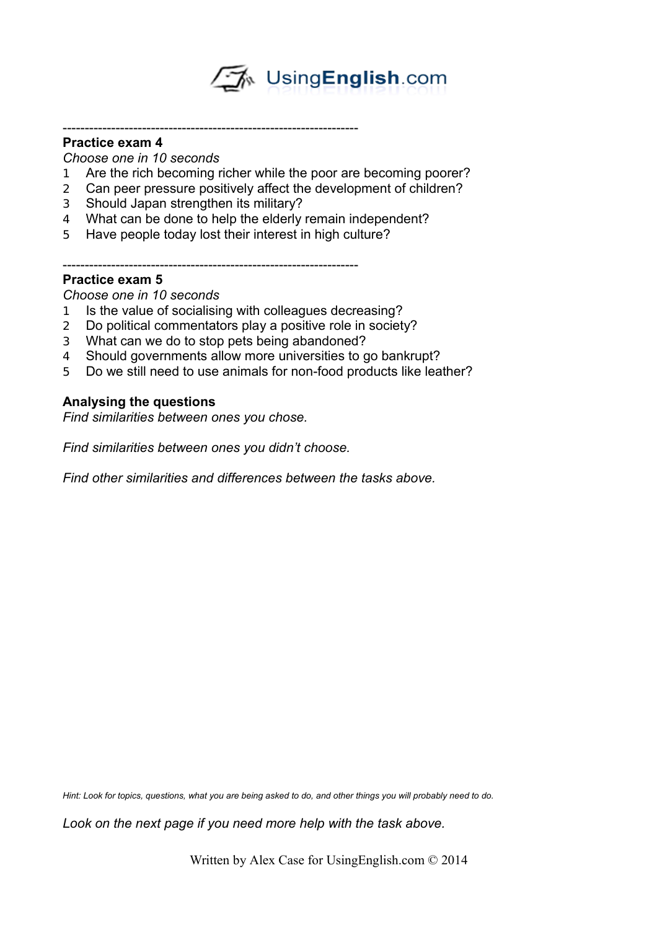→ UsingEnglish.com

## **Practice exam 4**

*Choose one in 10 seconds*

- 1 Are the rich becoming richer while the poor are becoming poorer?
- 2 Can peer pressure positively affect the development of children?
- 3 Should Japan strengthen its military?
- 4 What can be done to help the elderly remain independent?
- 5 Have people today lost their interest in high culture?

-------------------------------------------------------------------

### ------------------------------------------------------------------- **Practice exam 5**

*Choose one in 10 seconds*

- 1 Is the value of socialising with colleagues decreasing?
- 2 Do political commentators play a positive role in society?
- 3 What can we do to stop pets being abandoned?
- 4 Should governments allow more universities to go bankrupt?
- 5 Do we still need to use animals for non-food products like leather?

# **Analysing the questions**

*Find similarities between ones you chose.*

*Find similarities between ones you didn't choose.*

*Find other similarities and differences between the tasks above.*

Hint: Look for topics, questions, what you are being asked to do, and other things you will probably need to do.

*Look on the next page if you need more help with the task above.*

Written by Alex Case for UsingEnglish.com © 2014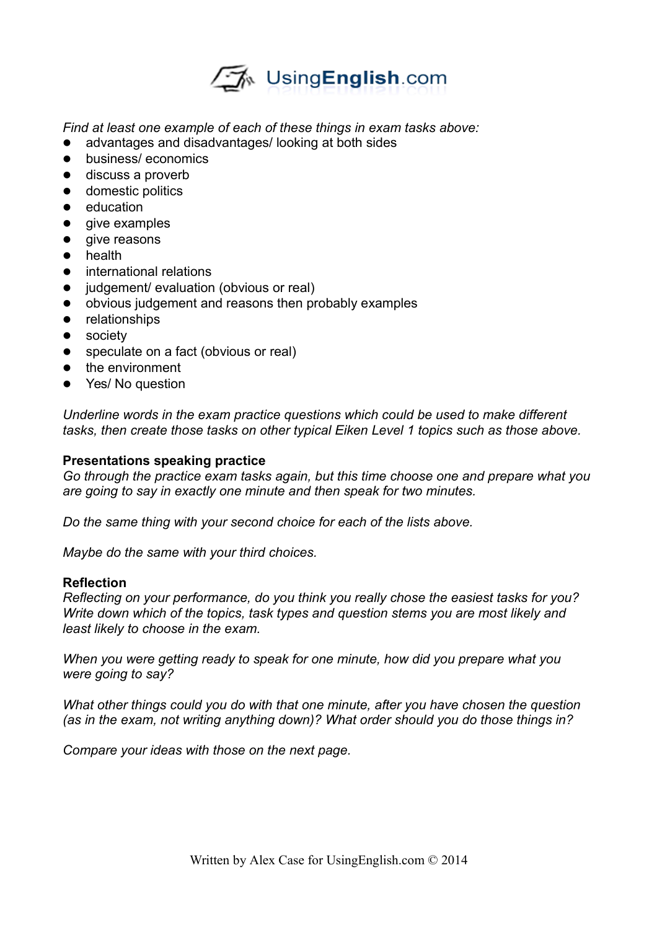

*Find at least one example of each of these things in exam tasks above:*

- advantages and disadvantages/ looking at both sides
- **•** business/ economics
- **e** discuss a proverb
- **•** domestic politics
- education
- give examples
- give reasons
- health
- **•** international relations
- judgement/ evaluation (obvious or real)
- obvious judgement and reasons then probably examples
- **•** relationships
- **•** society
- speculate on a fact (obvious or real)
- $\bullet$  the environment
- Yes/ No question

*Underline words in the exam practice questions which could be used to make different tasks, then create those tasks on other typical Eiken Level 1 topics such as those above.* 

#### **Presentations speaking practice**

*Go through the practice exam tasks again, but this time choose one and prepare what you are going to say in exactly one minute and then speak for two minutes.* 

*Do the same thing with your second choice for each of the lists above.*

*Maybe do the same with your third choices.*

#### **Reflection**

*Reflecting on your performance, do you think you really chose the easiest tasks for you? Write down which of the topics, task types and question stems you are most likely and least likely to choose in the exam.*

*When you were getting ready to speak for one minute, how did you prepare what you were going to say?* 

*What other things could you do with that one minute, after you have chosen the question (as in the exam, not writing anything down)? What order should you do those things in?*

*Compare your ideas with those on the next page.*